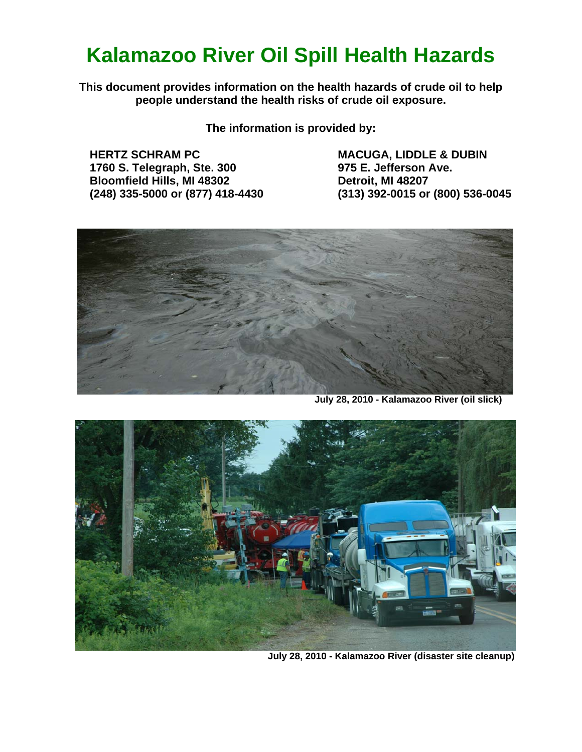# **Kalamazoo River Oil Spill Health Hazards**

**This document provides information on the health hazards of crude oil to help people understand the health risks of crude oil exposure.** 

**The information is provided by:** 

**HERTZ SCHRAM PC 1760 S. Telegraph, Ste. 300 Bloomfield Hills, MI 48302 (248) 335-5000 or (877) 418-4430**  **MACUGA, LIDDLE & DUBIN 975 E. Jefferson Ave. Detroit, MI 48207 (313) 392-0015 or (800) 536-0045** 



 **July 28, 2010 - Kalamazoo River (oil slick)** 



 **July 28, 2010 - Kalamazoo River (disaster site cleanup)**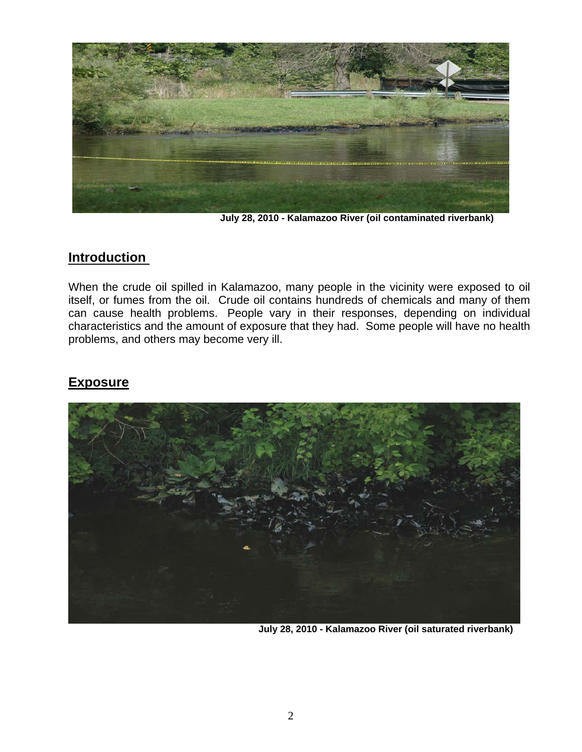

 **July 28, 2010 - Kalamazoo River (oil contaminated riverbank)** 

#### **Introduction**

When the crude oil spilled in Kalamazoo, many people in the vicinity were exposed to oil itself, or fumes from the oil. Crude oil contains hundreds of chemicals and many of them can cause health problems. People vary in their responses, depending on individual characteristics and the amount of exposure that they had. Some people will have no health problems, and others may become very ill.

# **Exposure**



**July 28, 2010 - Kalamazoo River (oil saturated riverbank)**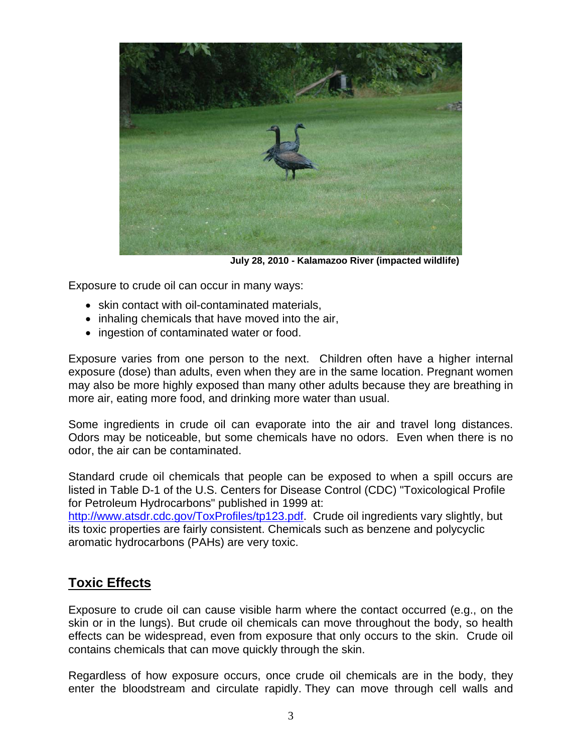

 **July 28, 2010 - Kalamazoo River (impacted wildlife)**

Exposure to crude oil can occur in many ways:

- skin contact with oil-contaminated materials,
- inhaling chemicals that have moved into the air,
- ingestion of contaminated water or food.

Exposure varies from one person to the next. Children often have a higher internal exposure (dose) than adults, even when they are in the same location. Pregnant women may also be more highly exposed than many other adults because they are breathing in more air, eating more food, and drinking more water than usual.

Some ingredients in crude oil can evaporate into the air and travel long distances. Odors may be noticeable, but some chemicals have no odors. Even when there is no odor, the air can be contaminated.

Standard crude oil chemicals that people can be exposed to when a spill occurs are listed in Table D-1 of the U.S. Centers for Disease Control (CDC) "Toxicological Profile for Petroleum Hydrocarbons" published in 1999 at:

http://www.atsdr.cdc.gov/ToxProfiles/tp123.pdf. Crude oil ingredients vary slightly, but its toxic properties are fairly consistent. Chemicals such as benzene and polycyclic aromatic hydrocarbons (PAHs) are very toxic.

## **Toxic Effects**

Exposure to crude oil can cause visible harm where the contact occurred (e.g., on the skin or in the lungs). But crude oil chemicals can move throughout the body, so health effects can be widespread, even from exposure that only occurs to the skin. Crude oil contains chemicals that can move quickly through the skin.

Regardless of how exposure occurs, once crude oil chemicals are in the body, they enter the bloodstream and circulate rapidly. They can move through cell walls and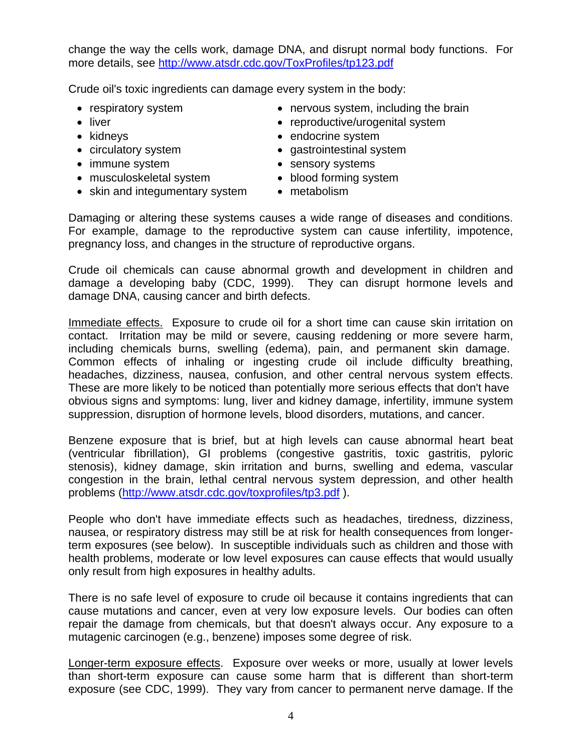change the way the cells work, damage DNA, and disrupt normal body functions. For more details, see http://www.atsdr.cdc.gov/ToxProfiles/tp123.pdf

Crude oil's toxic ingredients can damage every system in the body:

- respiratory system
- liver
- kidneys
- circulatory system
- immune system
- musculoskeletal system
- skin and integumentary system metabolism
- nervous system, including the brain
- reproductive/urogenital system
- endocrine system
- gastrointestinal system
- sensory systems
- blood forming system
	-

Damaging or altering these systems causes a wide range of diseases and conditions. For example, damage to the reproductive system can cause infertility, impotence, pregnancy loss, and changes in the structure of reproductive organs.

Crude oil chemicals can cause abnormal growth and development in children and damage a developing baby (CDC, 1999). They can disrupt hormone levels and damage DNA, causing cancer and birth defects.

Immediate effects. Exposure to crude oil for a short time can cause skin irritation on contact. Irritation may be mild or severe, causing reddening or more severe harm, including chemicals burns, swelling (edema), pain, and permanent skin damage. Common effects of inhaling or ingesting crude oil include difficulty breathing, headaches, dizziness, nausea, confusion, and other central nervous system effects. These are more likely to be noticed than potentially more serious effects that don't have obvious signs and symptoms: lung, liver and kidney damage, infertility, immune system suppression, disruption of hormone levels, blood disorders, mutations, and cancer.

Benzene exposure that is brief, but at high levels can cause abnormal heart beat (ventricular fibrillation), GI problems (congestive gastritis, toxic gastritis, pyloric stenosis), kidney damage, skin irritation and burns, swelling and edema, vascular congestion in the brain, lethal central nervous system depression, and other health problems (http://www.atsdr.cdc.gov/toxprofiles/tp3.pdf ).

People who don't have immediate effects such as headaches, tiredness, dizziness, nausea, or respiratory distress may still be at risk for health consequences from longerterm exposures (see below). In susceptible individuals such as children and those with health problems, moderate or low level exposures can cause effects that would usually only result from high exposures in healthy adults.

There is no safe level of exposure to crude oil because it contains ingredients that can cause mutations and cancer, even at very low exposure levels. Our bodies can often repair the damage from chemicals, but that doesn't always occur. Any exposure to a mutagenic carcinogen (e.g., benzene) imposes some degree of risk.

Longer-term exposure effects. Exposure over weeks or more, usually at lower levels than short-term exposure can cause some harm that is different than short-term exposure (see CDC, 1999). They vary from cancer to permanent nerve damage. If the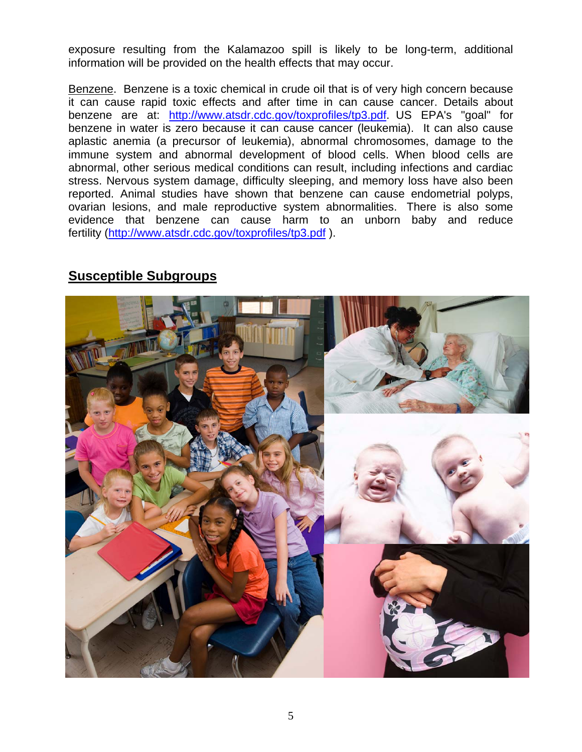exposure resulting from the Kalamazoo spill is likely to be long-term, additional information will be provided on the health effects that may occur.

Benzene. Benzene is a toxic chemical in crude oil that is of very high concern because it can cause rapid toxic effects and after time in can cause cancer. Details about benzene are at: http://www.atsdr.cdc.gov/toxprofiles/tp3.pdf. US EPA's "goal" for benzene in water is zero because it can cause cancer (leukemia). It can also cause aplastic anemia (a precursor of leukemia), abnormal chromosomes, damage to the immune system and abnormal development of blood cells. When blood cells are abnormal, other serious medical conditions can result, including infections and cardiac stress. Nervous system damage, difficulty sleeping, and memory loss have also been reported. Animal studies have shown that benzene can cause endometrial polyps, ovarian lesions, and male reproductive system abnormalities. There is also some evidence that benzene can cause harm to an unborn baby and reduce fertility (http://www.atsdr.cdc.gov/toxprofiles/tp3.pdf ).



## **Susceptible Subgroups**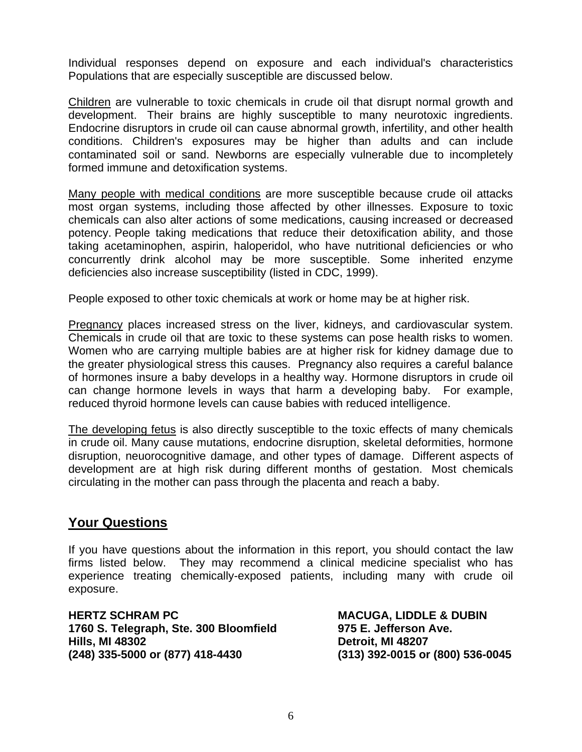Individual responses depend on exposure and each individual's characteristics Populations that are especially susceptible are discussed below.

Children are vulnerable to toxic chemicals in crude oil that disrupt normal growth and development. Their brains are highly susceptible to many neurotoxic ingredients. Endocrine disruptors in crude oil can cause abnormal growth, infertility, and other health conditions. Children's exposures may be higher than adults and can include contaminated soil or sand. Newborns are especially vulnerable due to incompletely formed immune and detoxification systems.

Many people with medical conditions are more susceptible because crude oil attacks most organ systems, including those affected by other illnesses. Exposure to toxic chemicals can also alter actions of some medications, causing increased or decreased potency. People taking medications that reduce their detoxification ability, and those taking acetaminophen, aspirin, haloperidol, who have nutritional deficiencies or who concurrently drink alcohol may be more susceptible. Some inherited enzyme deficiencies also increase susceptibility (listed in CDC, 1999).

People exposed to other toxic chemicals at work or home may be at higher risk.

Pregnancy places increased stress on the liver, kidneys, and cardiovascular system. Chemicals in crude oil that are toxic to these systems can pose health risks to women. Women who are carrying multiple babies are at higher risk for kidney damage due to the greater physiological stress this causes. Pregnancy also requires a careful balance of hormones insure a baby develops in a healthy way. Hormone disruptors in crude oil can change hormone levels in ways that harm a developing baby. For example, reduced thyroid hormone levels can cause babies with reduced intelligence.

The developing fetus is also directly susceptible to the toxic effects of many chemicals in crude oil. Many cause mutations, endocrine disruption, skeletal deformities, hormone disruption, neuorocognitive damage, and other types of damage. Different aspects of development are at high risk during different months of gestation. Most chemicals circulating in the mother can pass through the placenta and reach a baby.

#### **Your Questions**

If you have questions about the information in this report, you should contact the law firms listed below. They may recommend a clinical medicine specialist who has experience treating chemically-exposed patients, including many with crude oil exposure.

**HERTZ SCHRAM PC 1760 S. Telegraph, Ste. 300 Bloomfield Hills, MI 48302 (248) 335-5000 or (877) 418-4430** 

**MACUGA, LIDDLE & DUBIN 975 E. Jefferson Ave. Detroit, MI 48207 (313) 392-0015 or (800) 536-0045**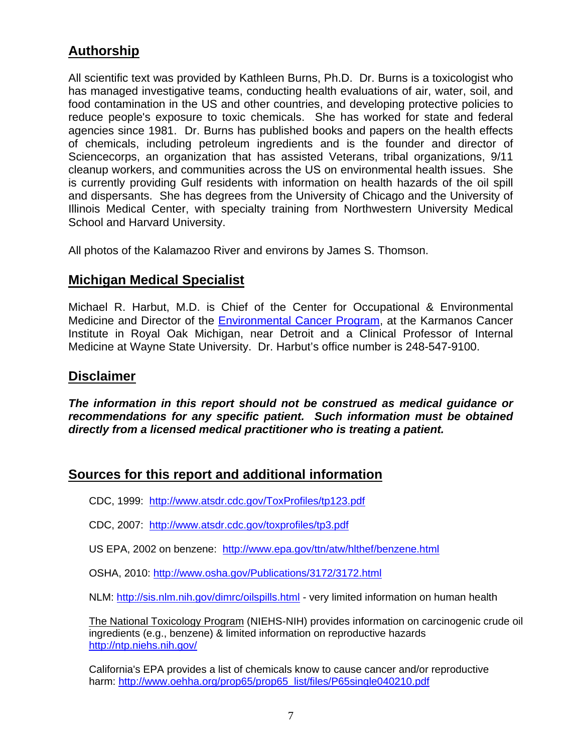# **Authorship**

All scientific text was provided by Kathleen Burns, Ph.D. Dr. Burns is a toxicologist who has managed investigative teams, conducting health evaluations of air, water, soil, and food contamination in the US and other countries, and developing protective policies to reduce people's exposure to toxic chemicals. She has worked for state and federal agencies since 1981. Dr. Burns has published books and papers on the health effects of chemicals, including petroleum ingredients and is the founder and director of Sciencecorps, an organization that has assisted Veterans, tribal organizations, 9/11 cleanup workers, and communities across the US on environmental health issues. She is currently providing Gulf residents with information on health hazards of the oil spill and dispersants. She has degrees from the University of Chicago and the University of Illinois Medical Center, with specialty training from Northwestern University Medical School and Harvard University.

All photos of the Kalamazoo River and environs by James S. Thomson.

#### **Michigan Medical Specialist**

Michael R. Harbut, M.D. is Chief of the Center for Occupational & Environmental Medicine and Director of the Environmental Cancer Program, at the Karmanos Cancer Institute in Royal Oak Michigan, near Detroit and a Clinical Professor of Internal Medicine at Wayne State University. Dr. Harbut's office number is 248-547-9100.

#### **Disclaimer**

*The information in this report should not be construed as medical guidance or recommendations for any specific patient. Such information must be obtained directly from a licensed medical practitioner who is treating a patient.* 

#### **Sources for this report and additional information**

CDC, 1999: http://www.atsdr.cdc.gov/ToxProfiles/tp123.pdf

CDC, 2007: http://www.atsdr.cdc.gov/toxprofiles/tp3.pdf

US EPA, 2002 on benzene: http://www.epa.gov/ttn/atw/hlthef/benzene.html

OSHA, 2010: http://www.osha.gov/Publications/3172/3172.html

NLM: http://sis.nlm.nih.gov/dimrc/oilspills.html - very limited information on human health

The National Toxicology Program (NIEHS-NIH) provides information on carcinogenic crude oil ingredients (e.g., benzene) & limited information on reproductive hazards http://ntp.niehs.nih.gov/

California's EPA provides a list of chemicals know to cause cancer and/or reproductive harm: http://www.oehha.org/prop65/prop65\_list/files/P65single040210.pdf